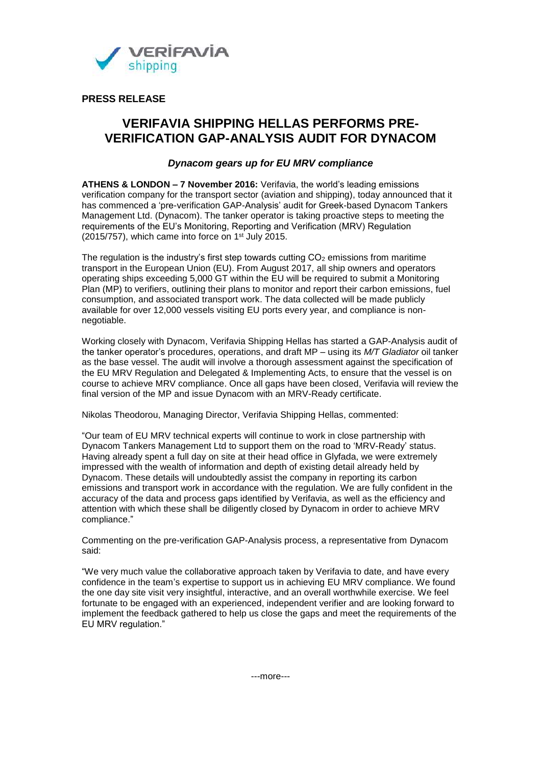

**PRESS RELEASE**

# **VERIFAVIA SHIPPING HELLAS PERFORMS PRE-VERIFICATION GAP-ANALYSIS AUDIT FOR DYNACOM**

## *Dynacom gears up for EU MRV compliance*

**ATHENS & LONDON – 7 November 2016:** Verifavia, the world's leading emissions verification company for the transport sector (aviation and shipping), today announced that it has commenced a 'pre-verification GAP-Analysis' audit for Greek-based Dynacom Tankers Management Ltd. (Dynacom). The tanker operator is taking proactive steps to meeting the requirements of the EU's Monitoring, Reporting and Verification (MRV) Regulation (2015/757), which came into force on  $1<sup>st</sup>$  July 2015.

The regulation is the industry's first step towards cutting  $CO<sub>2</sub>$  emissions from maritime transport in the European Union (EU). From August 2017, all ship owners and operators operating ships exceeding 5,000 GT within the EU will be required to submit a Monitoring Plan (MP) to verifiers, outlining their plans to monitor and report their carbon emissions, fuel consumption, and associated transport work. The data collected will be made publicly available for over 12,000 vessels visiting EU ports every year, and compliance is nonnegotiable.

Working closely with Dynacom, Verifavia Shipping Hellas has started a GAP-Analysis audit of the tanker operator's procedures, operations, and draft MP – using its *M/T Gladiator* oil tanker as the base vessel. The audit will involve a thorough assessment against the specification of the EU MRV Regulation and Delegated & Implementing Acts, to ensure that the vessel is on course to achieve MRV compliance. Once all gaps have been closed, Verifavia will review the final version of the MP and issue Dynacom with an MRV-Ready certificate.

Nikolas Theodorou, Managing Director, Verifavia Shipping Hellas, commented:

"Our team of EU MRV technical experts will continue to work in close partnership with Dynacom Tankers Management Ltd to support them on the road to 'MRV-Ready' status. Having already spent a full day on site at their head office in Glyfada, we were extremely impressed with the wealth of information and depth of existing detail already held by Dynacom. These details will undoubtedly assist the company in reporting its carbon emissions and transport work in accordance with the regulation. We are fully confident in the accuracy of the data and process gaps identified by Verifavia, as well as the efficiency and attention with which these shall be diligently closed by Dynacom in order to achieve MRV compliance."

Commenting on the pre-verification GAP-Analysis process, a representative from Dynacom said:

"We very much value the collaborative approach taken by Verifavia to date, and have every confidence in the team's expertise to support us in achieving EU MRV compliance. We found the one day site visit very insightful, interactive, and an overall worthwhile exercise. We feel fortunate to be engaged with an experienced, independent verifier and are looking forward to implement the feedback gathered to help us close the gaps and meet the requirements of the EU MRV regulation."

---more---